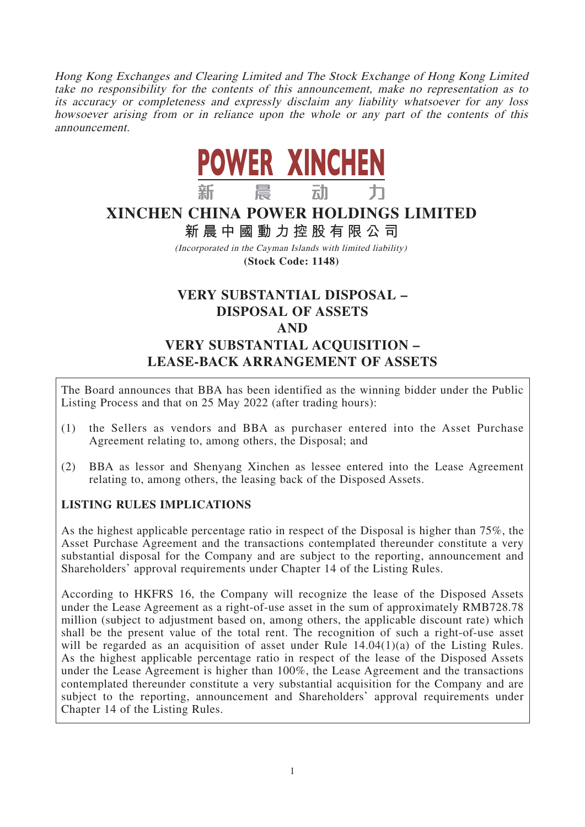Hong Kong Exchanges and Clearing Limited and The Stock Exchange of Hong Kong Limited take no responsibility for the contents of this announcement, make no representation as to its accuracy or completeness and expressly disclaim any liability whatsoever for any loss howsoever arising from or in reliance upon the whole or any part of the contents of this announcement.



# **XINCHEN CHINA POWER HOLDINGS LIMITED**

**新晨中國動力控股有限公 司**

(Incorporated in the Cayman Islands with limited liability) **(Stock Code: 1148)**

# **VERY SUBSTANTIAL DISPOSAL – DISPOSAL OF ASSETS AND VERY SUBSTANTIAL ACQUISITION – LEASE-BACK ARRANGEMENT OF ASSETS**

The Board announces that BBA has been identified as the winning bidder under the Public Listing Process and that on 25 May 2022 (after trading hours):

- (1) the Sellers as vendors and BBA as purchaser entered into the Asset Purchase Agreement relating to, among others, the Disposal; and
- (2) BBA as lessor and Shenyang Xinchen as lessee entered into the Lease Agreement relating to, among others, the leasing back of the Disposed Assets.

## **LISTING RULES IMPLICATIONS**

As the highest applicable percentage ratio in respect of the Disposal is higher than 75%, the Asset Purchase Agreement and the transactions contemplated thereunder constitute a very substantial disposal for the Company and are subject to the reporting, announcement and Shareholders' approval requirements under Chapter 14 of the Listing Rules.

According to HKFRS 16, the Company will recognize the lease of the Disposed Assets under the Lease Agreement as a right-of-use asset in the sum of approximately RMB728.78 million (subject to adjustment based on, among others, the applicable discount rate) which shall be the present value of the total rent. The recognition of such a right-of-use asset will be regarded as an acquisition of asset under Rule 14.04(1)(a) of the Listing Rules. As the highest applicable percentage ratio in respect of the lease of the Disposed Assets under the Lease Agreement is higher than 100%, the Lease Agreement and the transactions contemplated thereunder constitute a very substantial acquisition for the Company and are subject to the reporting, announcement and Shareholders' approval requirements under Chapter 14 of the Listing Rules.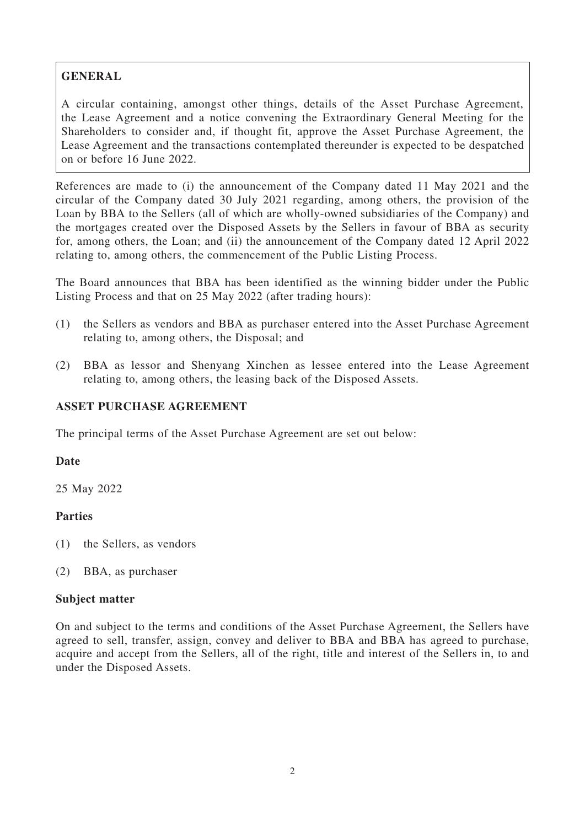## **GENERAL**

A circular containing, amongst other things, details of the Asset Purchase Agreement, the Lease Agreement and a notice convening the Extraordinary General Meeting for the Shareholders to consider and, if thought fit, approve the Asset Purchase Agreement, the Lease Agreement and the transactions contemplated thereunder is expected to be despatched on or before 16 June 2022.

References are made to (i) the announcement of the Company dated 11 May 2021 and the circular of the Company dated 30 July 2021 regarding, among others, the provision of the Loan by BBA to the Sellers (all of which are wholly-owned subsidiaries of the Company) and the mortgages created over the Disposed Assets by the Sellers in favour of BBA as security for, among others, the Loan; and (ii) the announcement of the Company dated 12 April 2022 relating to, among others, the commencement of the Public Listing Process.

The Board announces that BBA has been identified as the winning bidder under the Public Listing Process and that on 25 May 2022 (after trading hours):

- (1) the Sellers as vendors and BBA as purchaser entered into the Asset Purchase Agreement relating to, among others, the Disposal; and
- (2) BBA as lessor and Shenyang Xinchen as lessee entered into the Lease Agreement relating to, among others, the leasing back of the Disposed Assets.

## **ASSET PURCHASE AGREEMENT**

The principal terms of the Asset Purchase Agreement are set out below:

## **Date**

25 May 2022

## **Parties**

- (1) the Sellers, as vendors
- (2) BBA, as purchaser

#### **Subject matter**

On and subject to the terms and conditions of the Asset Purchase Agreement, the Sellers have agreed to sell, transfer, assign, convey and deliver to BBA and BBA has agreed to purchase, acquire and accept from the Sellers, all of the right, title and interest of the Sellers in, to and under the Disposed Assets.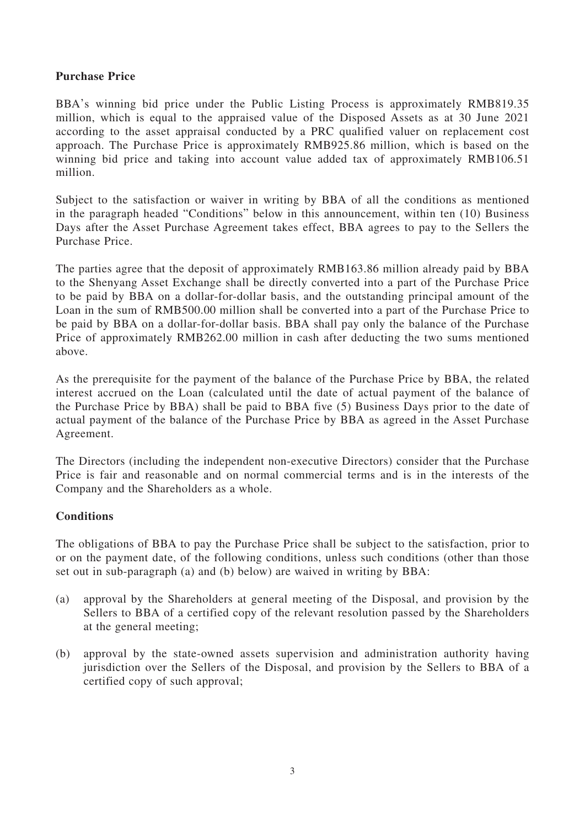## **Purchase Price**

BBA's winning bid price under the Public Listing Process is approximately RMB819.35 million, which is equal to the appraised value of the Disposed Assets as at 30 June 2021 according to the asset appraisal conducted by a PRC qualified valuer on replacement cost approach. The Purchase Price is approximately RMB925.86 million, which is based on the winning bid price and taking into account value added tax of approximately RMB106.51 million.

Subject to the satisfaction or waiver in writing by BBA of all the conditions as mentioned in the paragraph headed "Conditions" below in this announcement, within ten (10) Business Days after the Asset Purchase Agreement takes effect, BBA agrees to pay to the Sellers the Purchase Price.

The parties agree that the deposit of approximately RMB163.86 million already paid by BBA to the Shenyang Asset Exchange shall be directly converted into a part of the Purchase Price to be paid by BBA on a dollar-for-dollar basis, and the outstanding principal amount of the Loan in the sum of RMB500.00 million shall be converted into a part of the Purchase Price to be paid by BBA on a dollar-for-dollar basis. BBA shall pay only the balance of the Purchase Price of approximately RMB262.00 million in cash after deducting the two sums mentioned above.

As the prerequisite for the payment of the balance of the Purchase Price by BBA, the related interest accrued on the Loan (calculated until the date of actual payment of the balance of the Purchase Price by BBA) shall be paid to BBA five (5) Business Days prior to the date of actual payment of the balance of the Purchase Price by BBA as agreed in the Asset Purchase Agreement.

The Directors (including the independent non-executive Directors) consider that the Purchase Price is fair and reasonable and on normal commercial terms and is in the interests of the Company and the Shareholders as a whole.

## **Conditions**

The obligations of BBA to pay the Purchase Price shall be subject to the satisfaction, prior to or on the payment date, of the following conditions, unless such conditions (other than those set out in sub-paragraph (a) and (b) below) are waived in writing by BBA:

- (a) approval by the Shareholders at general meeting of the Disposal, and provision by the Sellers to BBA of a certified copy of the relevant resolution passed by the Shareholders at the general meeting;
- (b) approval by the state-owned assets supervision and administration authority having jurisdiction over the Sellers of the Disposal, and provision by the Sellers to BBA of a certified copy of such approval;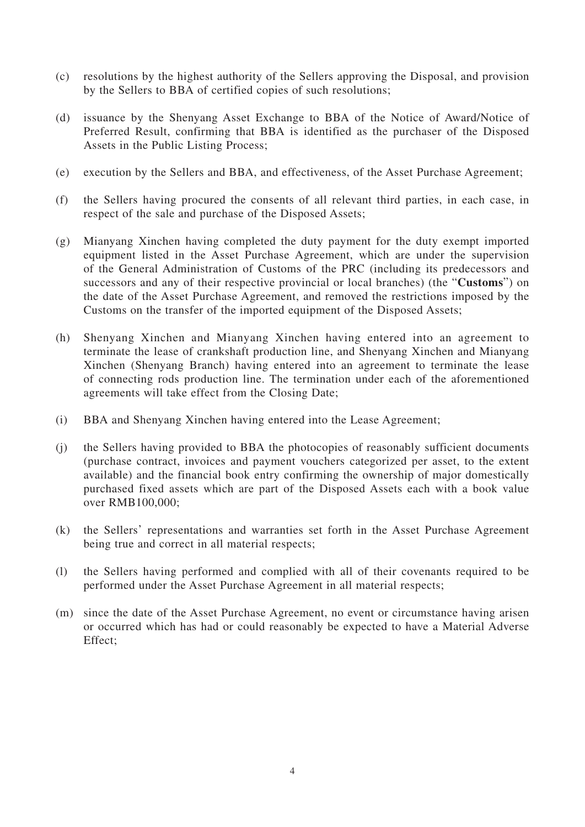- (c) resolutions by the highest authority of the Sellers approving the Disposal, and provision by the Sellers to BBA of certified copies of such resolutions;
- (d) issuance by the Shenyang Asset Exchange to BBA of the Notice of Award/Notice of Preferred Result, confirming that BBA is identified as the purchaser of the Disposed Assets in the Public Listing Process;
- (e) execution by the Sellers and BBA, and effectiveness, of the Asset Purchase Agreement;
- (f) the Sellers having procured the consents of all relevant third parties, in each case, in respect of the sale and purchase of the Disposed Assets;
- (g) Mianyang Xinchen having completed the duty payment for the duty exempt imported equipment listed in the Asset Purchase Agreement, which are under the supervision of the General Administration of Customs of the PRC (including its predecessors and successors and any of their respective provincial or local branches) (the "**Customs**") on the date of the Asset Purchase Agreement, and removed the restrictions imposed by the Customs on the transfer of the imported equipment of the Disposed Assets;
- (h) Shenyang Xinchen and Mianyang Xinchen having entered into an agreement to terminate the lease of crankshaft production line, and Shenyang Xinchen and Mianyang Xinchen (Shenyang Branch) having entered into an agreement to terminate the lease of connecting rods production line. The termination under each of the aforementioned agreements will take effect from the Closing Date;
- (i) BBA and Shenyang Xinchen having entered into the Lease Agreement;
- (j) the Sellers having provided to BBA the photocopies of reasonably sufficient documents (purchase contract, invoices and payment vouchers categorized per asset, to the extent available) and the financial book entry confirming the ownership of major domestically purchased fixed assets which are part of the Disposed Assets each with a book value over RMB100,000;
- (k) the Sellers' representations and warranties set forth in the Asset Purchase Agreement being true and correct in all material respects;
- (l) the Sellers having performed and complied with all of their covenants required to be performed under the Asset Purchase Agreement in all material respects;
- (m) since the date of the Asset Purchase Agreement, no event or circumstance having arisen or occurred which has had or could reasonably be expected to have a Material Adverse Effect;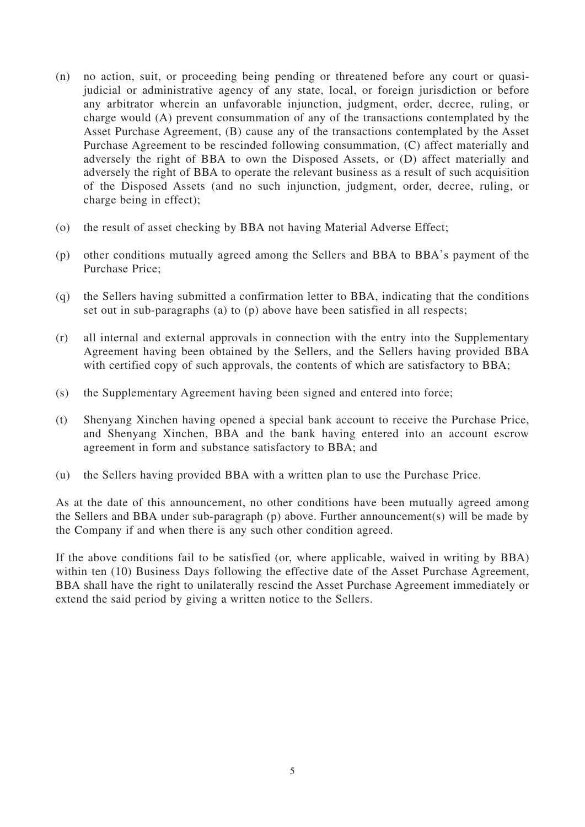- (n) no action, suit, or proceeding being pending or threatened before any court or quasijudicial or administrative agency of any state, local, or foreign jurisdiction or before any arbitrator wherein an unfavorable injunction, judgment, order, decree, ruling, or charge would (A) prevent consummation of any of the transactions contemplated by the Asset Purchase Agreement, (B) cause any of the transactions contemplated by the Asset Purchase Agreement to be rescinded following consummation, (C) affect materially and adversely the right of BBA to own the Disposed Assets, or (D) affect materially and adversely the right of BBA to operate the relevant business as a result of such acquisition of the Disposed Assets (and no such injunction, judgment, order, decree, ruling, or charge being in effect);
- (o) the result of asset checking by BBA not having Material Adverse Effect;
- (p) other conditions mutually agreed among the Sellers and BBA to BBA's payment of the Purchase Price;
- (q) the Sellers having submitted a confirmation letter to BBA, indicating that the conditions set out in sub-paragraphs (a) to (p) above have been satisfied in all respects;
- (r) all internal and external approvals in connection with the entry into the Supplementary Agreement having been obtained by the Sellers, and the Sellers having provided BBA with certified copy of such approvals, the contents of which are satisfactory to BBA;
- (s) the Supplementary Agreement having been signed and entered into force;
- (t) Shenyang Xinchen having opened a special bank account to receive the Purchase Price, and Shenyang Xinchen, BBA and the bank having entered into an account escrow agreement in form and substance satisfactory to BBA; and
- (u) the Sellers having provided BBA with a written plan to use the Purchase Price.

As at the date of this announcement, no other conditions have been mutually agreed among the Sellers and BBA under sub-paragraph (p) above. Further announcement(s) will be made by the Company if and when there is any such other condition agreed.

If the above conditions fail to be satisfied (or, where applicable, waived in writing by BBA) within ten (10) Business Days following the effective date of the Asset Purchase Agreement, BBA shall have the right to unilaterally rescind the Asset Purchase Agreement immediately or extend the said period by giving a written notice to the Sellers.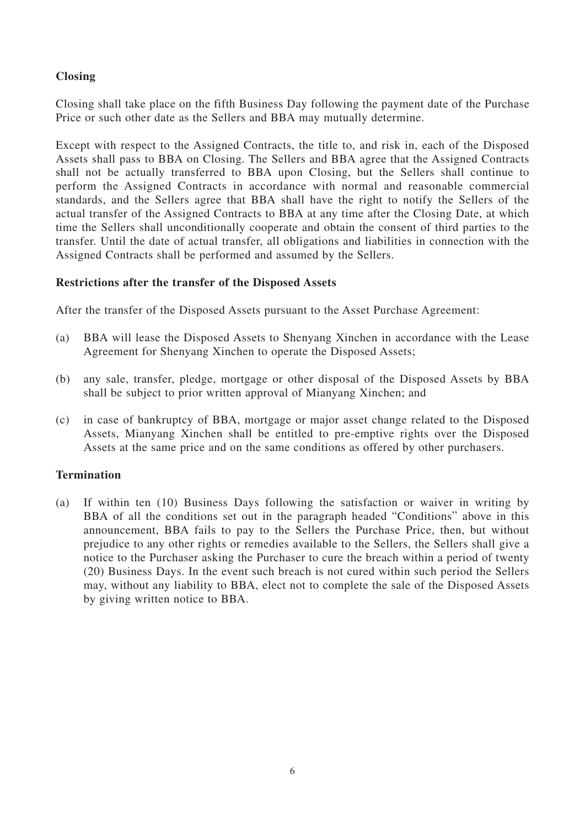## **Closing**

Closing shall take place on the fifth Business Day following the payment date of the Purchase Price or such other date as the Sellers and BBA may mutually determine.

Except with respect to the Assigned Contracts, the title to, and risk in, each of the Disposed Assets shall pass to BBA on Closing. The Sellers and BBA agree that the Assigned Contracts shall not be actually transferred to BBA upon Closing, but the Sellers shall continue to perform the Assigned Contracts in accordance with normal and reasonable commercial standards, and the Sellers agree that BBA shall have the right to notify the Sellers of the actual transfer of the Assigned Contracts to BBA at any time after the Closing Date, at which time the Sellers shall unconditionally cooperate and obtain the consent of third parties to the transfer. Until the date of actual transfer, all obligations and liabilities in connection with the Assigned Contracts shall be performed and assumed by the Sellers.

#### **Restrictions after the transfer of the Disposed Assets**

After the transfer of the Disposed Assets pursuant to the Asset Purchase Agreement:

- (a) BBA will lease the Disposed Assets to Shenyang Xinchen in accordance with the Lease Agreement for Shenyang Xinchen to operate the Disposed Assets;
- (b) any sale, transfer, pledge, mortgage or other disposal of the Disposed Assets by BBA shall be subject to prior written approval of Mianyang Xinchen; and
- (c) in case of bankruptcy of BBA, mortgage or major asset change related to the Disposed Assets, Mianyang Xinchen shall be entitled to pre-emptive rights over the Disposed Assets at the same price and on the same conditions as offered by other purchasers.

## **Termination**

(a) If within ten (10) Business Days following the satisfaction or waiver in writing by BBA of all the conditions set out in the paragraph headed "Conditions" above in this announcement, BBA fails to pay to the Sellers the Purchase Price, then, but without prejudice to any other rights or remedies available to the Sellers, the Sellers shall give a notice to the Purchaser asking the Purchaser to cure the breach within a period of twenty (20) Business Days. In the event such breach is not cured within such period the Sellers may, without any liability to BBA, elect not to complete the sale of the Disposed Assets by giving written notice to BBA.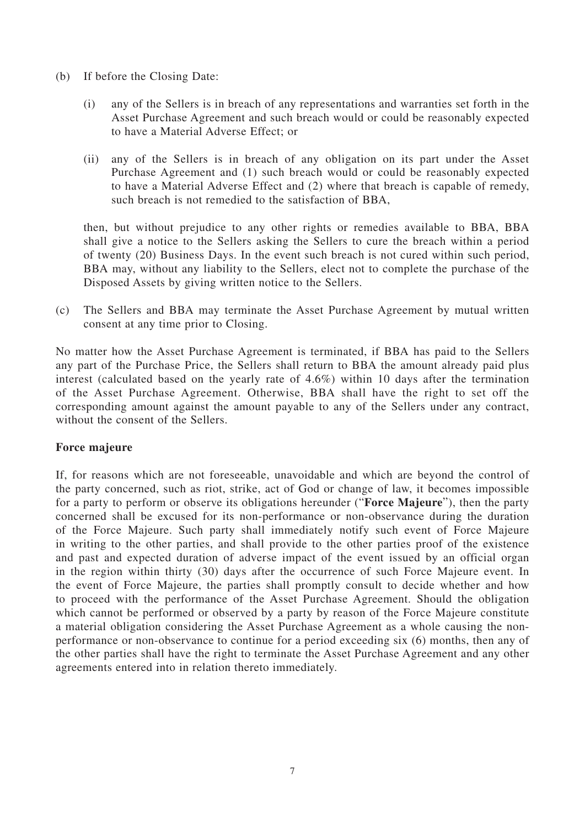- (b) If before the Closing Date:
	- (i) any of the Sellers is in breach of any representations and warranties set forth in the Asset Purchase Agreement and such breach would or could be reasonably expected to have a Material Adverse Effect; or
	- (ii) any of the Sellers is in breach of any obligation on its part under the Asset Purchase Agreement and (1) such breach would or could be reasonably expected to have a Material Adverse Effect and (2) where that breach is capable of remedy, such breach is not remedied to the satisfaction of BBA,

then, but without prejudice to any other rights or remedies available to BBA, BBA shall give a notice to the Sellers asking the Sellers to cure the breach within a period of twenty (20) Business Days. In the event such breach is not cured within such period, BBA may, without any liability to the Sellers, elect not to complete the purchase of the Disposed Assets by giving written notice to the Sellers.

(c) The Sellers and BBA may terminate the Asset Purchase Agreement by mutual written consent at any time prior to Closing.

No matter how the Asset Purchase Agreement is terminated, if BBA has paid to the Sellers any part of the Purchase Price, the Sellers shall return to BBA the amount already paid plus interest (calculated based on the yearly rate of 4.6%) within 10 days after the termination of the Asset Purchase Agreement. Otherwise, BBA shall have the right to set off the corresponding amount against the amount payable to any of the Sellers under any contract, without the consent of the Sellers.

## **Force majeure**

If, for reasons which are not foreseeable, unavoidable and which are beyond the control of the party concerned, such as riot, strike, act of God or change of law, it becomes impossible for a party to perform or observe its obligations hereunder ("**Force Majeure**"), then the party concerned shall be excused for its non-performance or non-observance during the duration of the Force Majeure. Such party shall immediately notify such event of Force Majeure in writing to the other parties, and shall provide to the other parties proof of the existence and past and expected duration of adverse impact of the event issued by an official organ in the region within thirty (30) days after the occurrence of such Force Majeure event. In the event of Force Majeure, the parties shall promptly consult to decide whether and how to proceed with the performance of the Asset Purchase Agreement. Should the obligation which cannot be performed or observed by a party by reason of the Force Majeure constitute a material obligation considering the Asset Purchase Agreement as a whole causing the nonperformance or non-observance to continue for a period exceeding six (6) months, then any of the other parties shall have the right to terminate the Asset Purchase Agreement and any other agreements entered into in relation thereto immediately.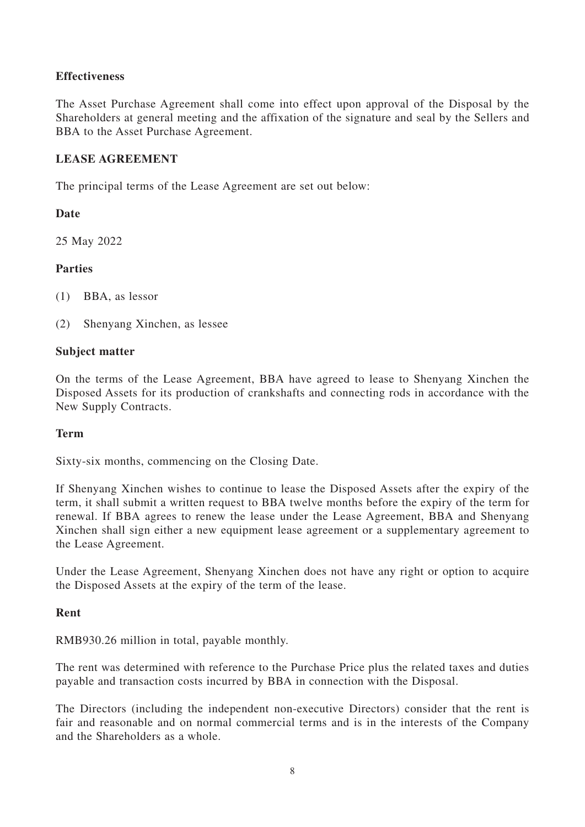## **Effectiveness**

The Asset Purchase Agreement shall come into effect upon approval of the Disposal by the Shareholders at general meeting and the affixation of the signature and seal by the Sellers and BBA to the Asset Purchase Agreement.

## **LEASE AGREEMENT**

The principal terms of the Lease Agreement are set out below:

## **Date**

25 May 2022

## **Parties**

(1) BBA, as lessor

(2) Shenyang Xinchen, as lessee

## **Subject matter**

On the terms of the Lease Agreement, BBA have agreed to lease to Shenyang Xinchen the Disposed Assets for its production of crankshafts and connecting rods in accordance with the New Supply Contracts.

## **Term**

Sixty-six months, commencing on the Closing Date.

If Shenyang Xinchen wishes to continue to lease the Disposed Assets after the expiry of the term, it shall submit a written request to BBA twelve months before the expiry of the term for renewal. If BBA agrees to renew the lease under the Lease Agreement, BBA and Shenyang Xinchen shall sign either a new equipment lease agreement or a supplementary agreement to the Lease Agreement.

Under the Lease Agreement, Shenyang Xinchen does not have any right or option to acquire the Disposed Assets at the expiry of the term of the lease.

## **Rent**

RMB930.26 million in total, payable monthly.

The rent was determined with reference to the Purchase Price plus the related taxes and duties payable and transaction costs incurred by BBA in connection with the Disposal.

The Directors (including the independent non-executive Directors) consider that the rent is fair and reasonable and on normal commercial terms and is in the interests of the Company and the Shareholders as a whole.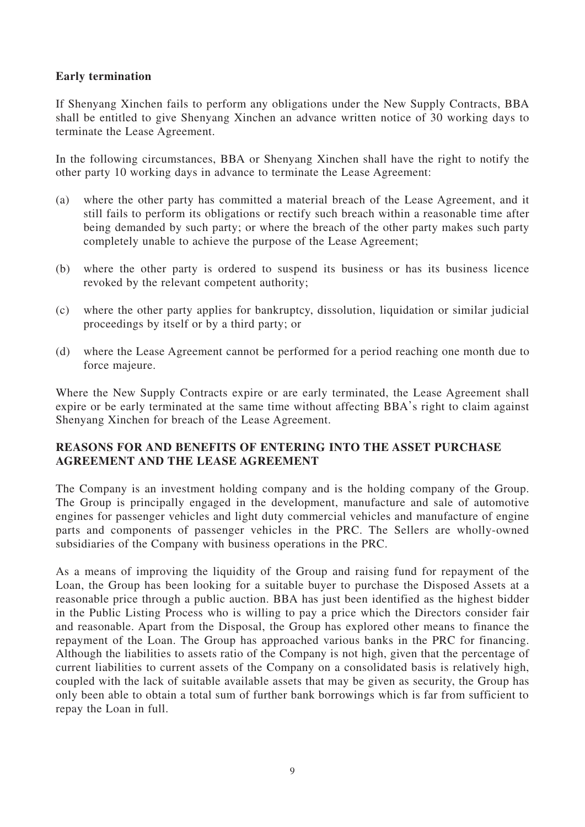## **Early termination**

If Shenyang Xinchen fails to perform any obligations under the New Supply Contracts, BBA shall be entitled to give Shenyang Xinchen an advance written notice of 30 working days to terminate the Lease Agreement.

In the following circumstances, BBA or Shenyang Xinchen shall have the right to notify the other party 10 working days in advance to terminate the Lease Agreement:

- (a) where the other party has committed a material breach of the Lease Agreement, and it still fails to perform its obligations or rectify such breach within a reasonable time after being demanded by such party; or where the breach of the other party makes such party completely unable to achieve the purpose of the Lease Agreement;
- (b) where the other party is ordered to suspend its business or has its business licence revoked by the relevant competent authority;
- (c) where the other party applies for bankruptcy, dissolution, liquidation or similar judicial proceedings by itself or by a third party; or
- (d) where the Lease Agreement cannot be performed for a period reaching one month due to force majeure.

Where the New Supply Contracts expire or are early terminated, the Lease Agreement shall expire or be early terminated at the same time without affecting BBA's right to claim against Shenyang Xinchen for breach of the Lease Agreement.

## **REASONS FOR AND BENEFITS OF ENTERING INTO THE ASSET PURCHASE AGREEMENT AND THE LEASE AGREEMENT**

The Company is an investment holding company and is the holding company of the Group. The Group is principally engaged in the development, manufacture and sale of automotive engines for passenger vehicles and light duty commercial vehicles and manufacture of engine parts and components of passenger vehicles in the PRC. The Sellers are wholly-owned subsidiaries of the Company with business operations in the PRC.

As a means of improving the liquidity of the Group and raising fund for repayment of the Loan, the Group has been looking for a suitable buyer to purchase the Disposed Assets at a reasonable price through a public auction. BBA has just been identified as the highest bidder in the Public Listing Process who is willing to pay a price which the Directors consider fair and reasonable. Apart from the Disposal, the Group has explored other means to finance the repayment of the Loan. The Group has approached various banks in the PRC for financing. Although the liabilities to assets ratio of the Company is not high, given that the percentage of current liabilities to current assets of the Company on a consolidated basis is relatively high, coupled with the lack of suitable available assets that may be given as security, the Group has only been able to obtain a total sum of further bank borrowings which is far from sufficient to repay the Loan in full.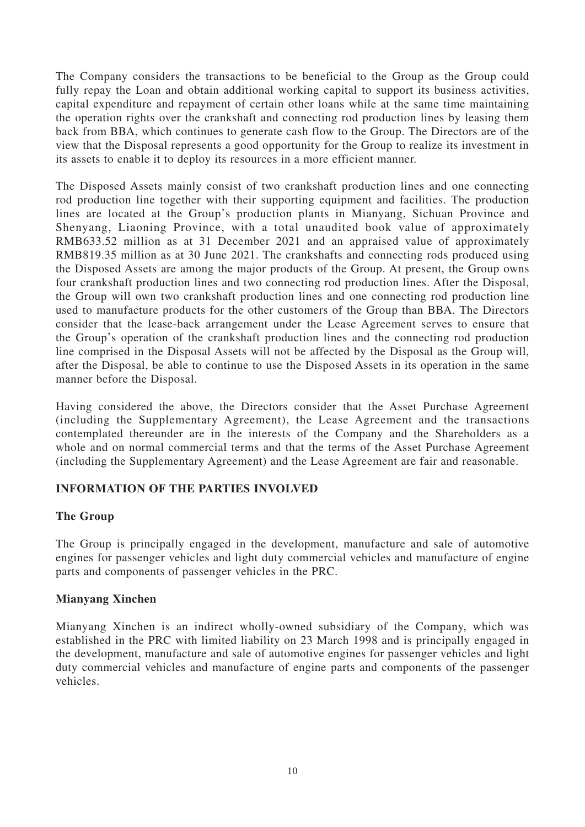The Company considers the transactions to be beneficial to the Group as the Group could fully repay the Loan and obtain additional working capital to support its business activities, capital expenditure and repayment of certain other loans while at the same time maintaining the operation rights over the crankshaft and connecting rod production lines by leasing them back from BBA, which continues to generate cash flow to the Group. The Directors are of the view that the Disposal represents a good opportunity for the Group to realize its investment in its assets to enable it to deploy its resources in a more efficient manner.

The Disposed Assets mainly consist of two crankshaft production lines and one connecting rod production line together with their supporting equipment and facilities. The production lines are located at the Group's production plants in Mianyang, Sichuan Province and Shenyang, Liaoning Province, with a total unaudited book value of approximately RMB633.52 million as at 31 December 2021 and an appraised value of approximately RMB819.35 million as at 30 June 2021. The crankshafts and connecting rods produced using the Disposed Assets are among the major products of the Group. At present, the Group owns four crankshaft production lines and two connecting rod production lines. After the Disposal, the Group will own two crankshaft production lines and one connecting rod production line used to manufacture products for the other customers of the Group than BBA. The Directors consider that the lease-back arrangement under the Lease Agreement serves to ensure that the Group's operation of the crankshaft production lines and the connecting rod production line comprised in the Disposal Assets will not be affected by the Disposal as the Group will, after the Disposal, be able to continue to use the Disposed Assets in its operation in the same manner before the Disposal.

Having considered the above, the Directors consider that the Asset Purchase Agreement (including the Supplementary Agreement), the Lease Agreement and the transactions contemplated thereunder are in the interests of the Company and the Shareholders as a whole and on normal commercial terms and that the terms of the Asset Purchase Agreement (including the Supplementary Agreement) and the Lease Agreement are fair and reasonable.

## **INFORMATION OF THE PARTIES INVOLVED**

## **The Group**

The Group is principally engaged in the development, manufacture and sale of automotive engines for passenger vehicles and light duty commercial vehicles and manufacture of engine parts and components of passenger vehicles in the PRC.

## **Mianyang Xinchen**

Mianyang Xinchen is an indirect wholly-owned subsidiary of the Company, which was established in the PRC with limited liability on 23 March 1998 and is principally engaged in the development, manufacture and sale of automotive engines for passenger vehicles and light duty commercial vehicles and manufacture of engine parts and components of the passenger vehicles.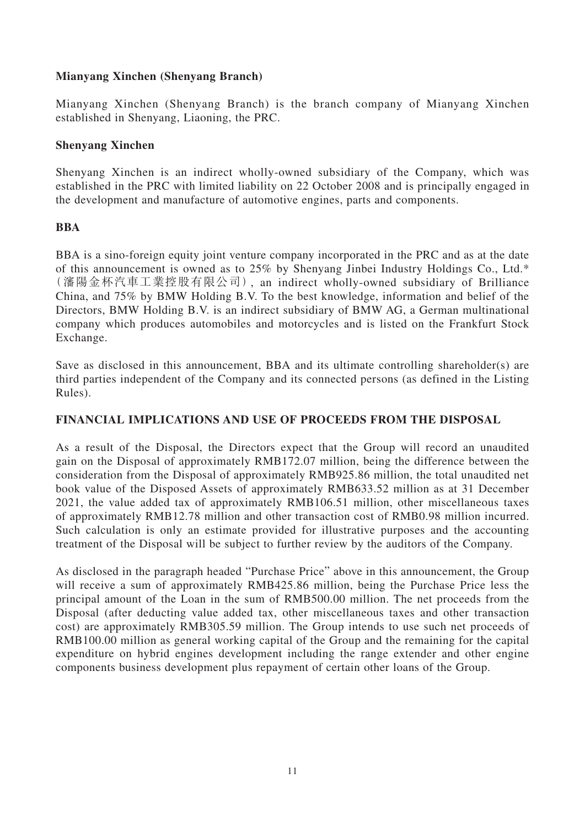## **Mianyang Xinchen (Shenyang Branch)**

Mianyang Xinchen (Shenyang Branch) is the branch company of Mianyang Xinchen established in Shenyang, Liaoning, the PRC.

## **Shenyang Xinchen**

Shenyang Xinchen is an indirect wholly-owned subsidiary of the Company, which was established in the PRC with limited liability on 22 October 2008 and is principally engaged in the development and manufacture of automotive engines, parts and components.

## **BBA**

BBA is a sino-foreign equity joint venture company incorporated in the PRC and as at the date of this announcement is owned as to 25% by Shenyang Jinbei Industry Holdings Co., Ltd.\* (瀋陽金杯汽車工業控股有限公司), an indirect wholly-owned subsidiary of Brilliance China, and 75% by BMW Holding B.V. To the best knowledge, information and belief of the Directors, BMW Holding B.V. is an indirect subsidiary of BMW AG, a German multinational company which produces automobiles and motorcycles and is listed on the Frankfurt Stock Exchange.

Save as disclosed in this announcement, BBA and its ultimate controlling shareholder(s) are third parties independent of the Company and its connected persons (as defined in the Listing Rules).

## **FINANCIAL IMPLICATIONS AND USE OF PROCEEDS FROM THE DISPOSAL**

As a result of the Disposal, the Directors expect that the Group will record an unaudited gain on the Disposal of approximately RMB172.07 million, being the difference between the consideration from the Disposal of approximately RMB925.86 million, the total unaudited net book value of the Disposed Assets of approximately RMB633.52 million as at 31 December 2021, the value added tax of approximately RMB106.51 million, other miscellaneous taxes of approximately RMB12.78 million and other transaction cost of RMB0.98 million incurred. Such calculation is only an estimate provided for illustrative purposes and the accounting treatment of the Disposal will be subject to further review by the auditors of the Company.

As disclosed in the paragraph headed "Purchase Price" above in this announcement, the Group will receive a sum of approximately RMB425.86 million, being the Purchase Price less the principal amount of the Loan in the sum of RMB500.00 million. The net proceeds from the Disposal (after deducting value added tax, other miscellaneous taxes and other transaction cost) are approximately RMB305.59 million. The Group intends to use such net proceeds of RMB100.00 million as general working capital of the Group and the remaining for the capital expenditure on hybrid engines development including the range extender and other engine components business development plus repayment of certain other loans of the Group.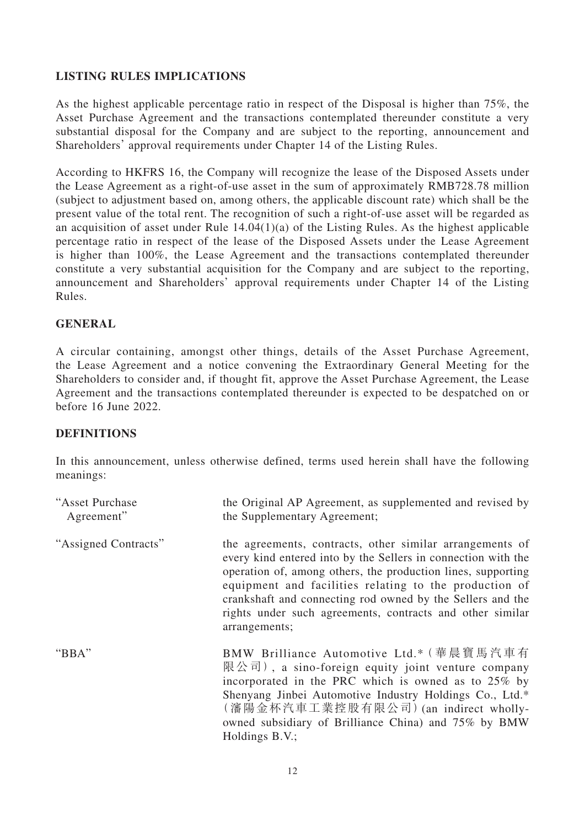## **LISTING RULES IMPLICATIONS**

As the highest applicable percentage ratio in respect of the Disposal is higher than 75%, the Asset Purchase Agreement and the transactions contemplated thereunder constitute a very substantial disposal for the Company and are subject to the reporting, announcement and Shareholders' approval requirements under Chapter 14 of the Listing Rules.

According to HKFRS 16, the Company will recognize the lease of the Disposed Assets under the Lease Agreement as a right-of-use asset in the sum of approximately RMB728.78 million (subject to adjustment based on, among others, the applicable discount rate) which shall be the present value of the total rent. The recognition of such a right-of-use asset will be regarded as an acquisition of asset under Rule  $14.04(1)(a)$  of the Listing Rules. As the highest applicable percentage ratio in respect of the lease of the Disposed Assets under the Lease Agreement is higher than 100%, the Lease Agreement and the transactions contemplated thereunder constitute a very substantial acquisition for the Company and are subject to the reporting, announcement and Shareholders' approval requirements under Chapter 14 of the Listing Rules.

#### **GENERAL**

A circular containing, amongst other things, details of the Asset Purchase Agreement, the Lease Agreement and a notice convening the Extraordinary General Meeting for the Shareholders to consider and, if thought fit, approve the Asset Purchase Agreement, the Lease Agreement and the transactions contemplated thereunder is expected to be despatched on or before 16 June 2022.

#### **DEFINITIONS**

In this announcement, unless otherwise defined, terms used herein shall have the following meanings:

| "Asset Purchase<br>Agreement" | the Original AP Agreement, as supplemented and revised by<br>the Supplementary Agreement;                                                                                                                                                                                                                                                                                                       |
|-------------------------------|-------------------------------------------------------------------------------------------------------------------------------------------------------------------------------------------------------------------------------------------------------------------------------------------------------------------------------------------------------------------------------------------------|
| "Assigned Contracts"          | the agreements, contracts, other similar arrangements of<br>every kind entered into by the Sellers in connection with the<br>operation of, among others, the production lines, supporting<br>equipment and facilities relating to the production of<br>crankshaft and connecting rod owned by the Sellers and the<br>rights under such agreements, contracts and other similar<br>arrangements; |
| "BBA"                         | BMW Brilliance Automotive Ltd.* (華晨寶馬汽車有<br>限公司), a sino-foreign equity joint venture company<br>incorporated in the PRC which is owned as to 25% by<br>Shenyang Jinbei Automotive Industry Holdings Co., Ltd.*<br>(瀋陽金杯汽車工業控股有限公司)(an indirect wholly-<br>owned subsidiary of Brilliance China) and 75% by BMW<br>Holdings B.V.;                                                               |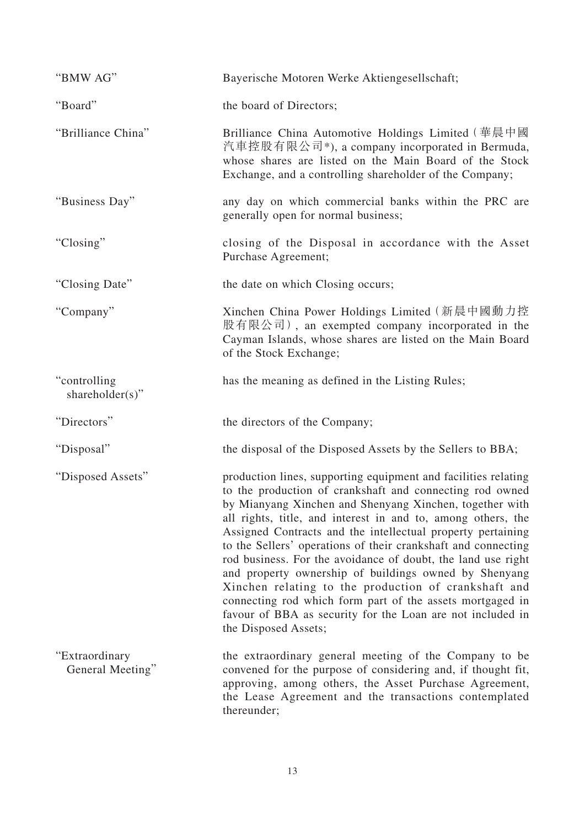| "BMW AG"                           | Bayerische Motoren Werke Aktiengesellschaft;                                                                                                                                                                                                                                                                                                                                                                                                                                                                                                                                                                                                                                                                              |
|------------------------------------|---------------------------------------------------------------------------------------------------------------------------------------------------------------------------------------------------------------------------------------------------------------------------------------------------------------------------------------------------------------------------------------------------------------------------------------------------------------------------------------------------------------------------------------------------------------------------------------------------------------------------------------------------------------------------------------------------------------------------|
| "Board"                            | the board of Directors;                                                                                                                                                                                                                                                                                                                                                                                                                                                                                                                                                                                                                                                                                                   |
| "Brilliance China"                 | Brilliance China Automotive Holdings Limited (華晨中國<br>汽車控股有限公司*), a company incorporated in Bermuda,<br>whose shares are listed on the Main Board of the Stock<br>Exchange, and a controlling shareholder of the Company;                                                                                                                                                                                                                                                                                                                                                                                                                                                                                                 |
| "Business Day"                     | any day on which commercial banks within the PRC are<br>generally open for normal business;                                                                                                                                                                                                                                                                                                                                                                                                                                                                                                                                                                                                                               |
| "Closing"                          | closing of the Disposal in accordance with the Asset<br>Purchase Agreement;                                                                                                                                                                                                                                                                                                                                                                                                                                                                                                                                                                                                                                               |
| "Closing Date"                     | the date on which Closing occurs;                                                                                                                                                                                                                                                                                                                                                                                                                                                                                                                                                                                                                                                                                         |
| "Company"                          | Xinchen China Power Holdings Limited (新晨中國動力控<br>股有限公司), an exempted company incorporated in the<br>Cayman Islands, whose shares are listed on the Main Board<br>of the Stock Exchange;                                                                                                                                                                                                                                                                                                                                                                                                                                                                                                                                   |
| "controlling"<br>shareholder(s)"   | has the meaning as defined in the Listing Rules;                                                                                                                                                                                                                                                                                                                                                                                                                                                                                                                                                                                                                                                                          |
| "Directors"                        | the directors of the Company;                                                                                                                                                                                                                                                                                                                                                                                                                                                                                                                                                                                                                                                                                             |
| "Disposal"                         | the disposal of the Disposed Assets by the Sellers to BBA;                                                                                                                                                                                                                                                                                                                                                                                                                                                                                                                                                                                                                                                                |
| "Disposed Assets"                  | production lines, supporting equipment and facilities relating<br>to the production of crankshaft and connecting rod owned<br>by Mianyang Xinchen and Shenyang Xinchen, together with<br>all rights, title, and interest in and to, among others, the<br>Assigned Contracts and the intellectual property pertaining<br>to the Sellers' operations of their crankshaft and connecting<br>rod business. For the avoidance of doubt, the land use right<br>and property ownership of buildings owned by Shenyang<br>Xinchen relating to the production of crankshaft and<br>connecting rod which form part of the assets mortgaged in<br>favour of BBA as security for the Loan are not included in<br>the Disposed Assets; |
| "Extraordinary<br>General Meeting" | the extraordinary general meeting of the Company to be<br>convened for the purpose of considering and, if thought fit,<br>approving, among others, the Asset Purchase Agreement,<br>the Lease Agreement and the transactions contemplated<br>thereunder;                                                                                                                                                                                                                                                                                                                                                                                                                                                                  |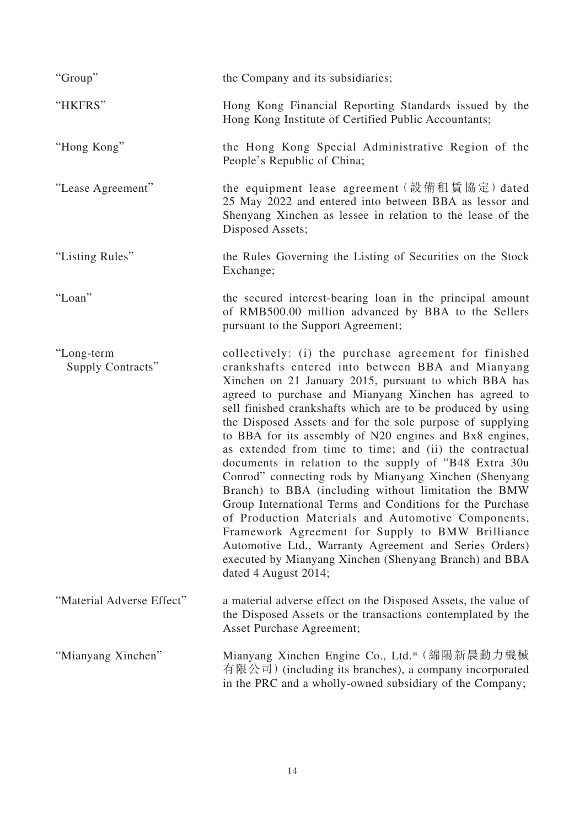| "Group"                         | the Company and its subsidiaries;                                                                                                                                                                                                                                                                                                                                                                                                                                                                                                                                                                                                                                                                                                                                                                                                                                                                                                                                           |
|---------------------------------|-----------------------------------------------------------------------------------------------------------------------------------------------------------------------------------------------------------------------------------------------------------------------------------------------------------------------------------------------------------------------------------------------------------------------------------------------------------------------------------------------------------------------------------------------------------------------------------------------------------------------------------------------------------------------------------------------------------------------------------------------------------------------------------------------------------------------------------------------------------------------------------------------------------------------------------------------------------------------------|
| "HKFRS"                         | Hong Kong Financial Reporting Standards issued by the<br>Hong Kong Institute of Certified Public Accountants;                                                                                                                                                                                                                                                                                                                                                                                                                                                                                                                                                                                                                                                                                                                                                                                                                                                               |
| "Hong Kong"                     | the Hong Kong Special Administrative Region of the<br>People's Republic of China;                                                                                                                                                                                                                                                                                                                                                                                                                                                                                                                                                                                                                                                                                                                                                                                                                                                                                           |
| "Lease Agreement"               | the equipment lease agreement (設備租賃協定) dated<br>25 May 2022 and entered into between BBA as lessor and<br>Shenyang Xinchen as lessee in relation to the lease of the<br>Disposed Assets;                                                                                                                                                                                                                                                                                                                                                                                                                                                                                                                                                                                                                                                                                                                                                                                    |
| "Listing Rules"                 | the Rules Governing the Listing of Securities on the Stock<br>Exchange;                                                                                                                                                                                                                                                                                                                                                                                                                                                                                                                                                                                                                                                                                                                                                                                                                                                                                                     |
| "Loan"                          | the secured interest-bearing loan in the principal amount<br>of RMB500.00 million advanced by BBA to the Sellers<br>pursuant to the Support Agreement;                                                                                                                                                                                                                                                                                                                                                                                                                                                                                                                                                                                                                                                                                                                                                                                                                      |
| "Long-term<br>Supply Contracts" | collectively: (i) the purchase agreement for finished<br>crankshafts entered into between BBA and Mianyang<br>Xinchen on 21 January 2015, pursuant to which BBA has<br>agreed to purchase and Mianyang Xinchen has agreed to<br>sell finished crankshafts which are to be produced by using<br>the Disposed Assets and for the sole purpose of supplying<br>to BBA for its assembly of N20 engines and Bx8 engines,<br>as extended from time to time; and (ii) the contractual<br>documents in relation to the supply of "B48 Extra 30u<br>Conrod" connecting rods by Mianyang Xinchen (Shenyang<br>Branch) to BBA (including without limitation the BMW<br>Group International Terms and Conditions for the Purchase<br>of Production Materials and Automotive Components,<br>Framework Agreement for Supply to BMW Brilliance<br>Automotive Ltd., Warranty Agreement and Series Orders)<br>executed by Mianyang Xinchen (Shenyang Branch) and BBA<br>dated 4 August 2014; |
| "Material Adverse Effect"       | a material adverse effect on the Disposed Assets, the value of<br>the Disposed Assets or the transactions contemplated by the<br><b>Asset Purchase Agreement;</b>                                                                                                                                                                                                                                                                                                                                                                                                                                                                                                                                                                                                                                                                                                                                                                                                           |
| "Mianyang Xinchen"              | Mianyang Xinchen Engine Co., Ltd.* (綿陽新晨動力機械<br>有限公司) (including its branches), a company incorporated<br>in the PRC and a wholly-owned subsidiary of the Company;                                                                                                                                                                                                                                                                                                                                                                                                                                                                                                                                                                                                                                                                                                                                                                                                          |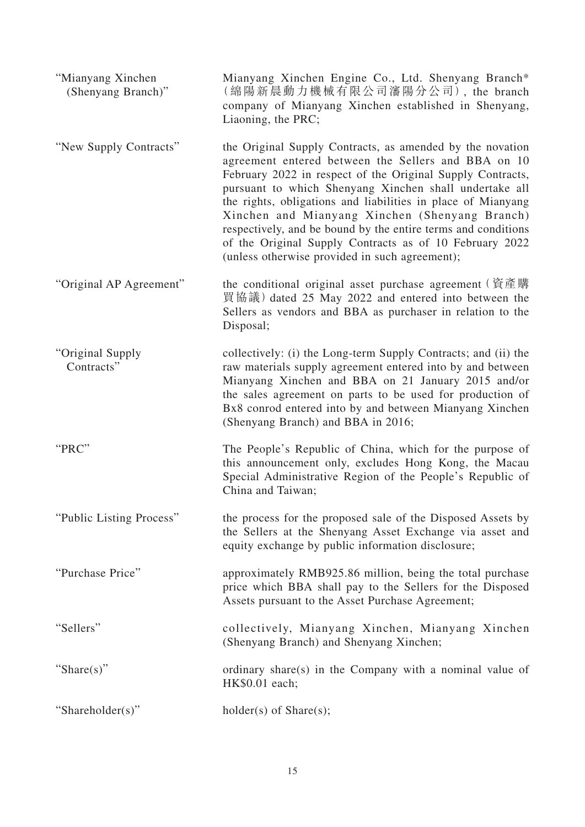| "Mianyang Xinchen"<br>(Shenyang Branch)" | Mianyang Xinchen Engine Co., Ltd. Shenyang Branch*<br>(綿陽新晨動力機械有限公司瀋陽分公司), the branch<br>company of Mianyang Xinchen established in Shenyang,<br>Liaoning, the PRC;                                                                                                                                                                                                                                                                                                                                                                      |
|------------------------------------------|------------------------------------------------------------------------------------------------------------------------------------------------------------------------------------------------------------------------------------------------------------------------------------------------------------------------------------------------------------------------------------------------------------------------------------------------------------------------------------------------------------------------------------------|
| "New Supply Contracts"                   | the Original Supply Contracts, as amended by the novation<br>agreement entered between the Sellers and BBA on 10<br>February 2022 in respect of the Original Supply Contracts,<br>pursuant to which Shenyang Xinchen shall undertake all<br>the rights, obligations and liabilities in place of Mianyang<br>Xinchen and Mianyang Xinchen (Shenyang Branch)<br>respectively, and be bound by the entire terms and conditions<br>of the Original Supply Contracts as of 10 February 2022<br>(unless otherwise provided in such agreement); |
| "Original AP Agreement"                  | the conditional original asset purchase agreement (資產購<br>買協議) dated 25 May 2022 and entered into between the<br>Sellers as vendors and BBA as purchaser in relation to the<br>Disposal;                                                                                                                                                                                                                                                                                                                                                 |
| "Original Supply<br>Contracts"           | collectively: (i) the Long-term Supply Contracts; and (ii) the<br>raw materials supply agreement entered into by and between<br>Mianyang Xinchen and BBA on 21 January 2015 and/or<br>the sales agreement on parts to be used for production of<br>Bx8 conrod entered into by and between Mianyang Xinchen<br>(Shenyang Branch) and BBA in 2016;                                                                                                                                                                                         |
| "PRC"                                    | The People's Republic of China, which for the purpose of<br>this announcement only, excludes Hong Kong, the Macau<br>Special Administrative Region of the People's Republic of<br>China and Taiwan;                                                                                                                                                                                                                                                                                                                                      |
| "Public Listing Process"                 | the process for the proposed sale of the Disposed Assets by<br>the Sellers at the Shenyang Asset Exchange via asset and<br>equity exchange by public information disclosure;                                                                                                                                                                                                                                                                                                                                                             |
| "Purchase Price"                         | approximately RMB925.86 million, being the total purchase<br>price which BBA shall pay to the Sellers for the Disposed<br>Assets pursuant to the Asset Purchase Agreement;                                                                                                                                                                                                                                                                                                                                                               |
| "Sellers"                                | collectively, Mianyang Xinchen, Mianyang Xinchen<br>(Shenyang Branch) and Shenyang Xinchen;                                                                                                                                                                                                                                                                                                                                                                                                                                              |
| "Share $(s)$ "                           | ordinary share(s) in the Company with a nominal value of<br>HK\$0.01 each;                                                                                                                                                                                                                                                                                                                                                                                                                                                               |
| "Shareholder(s)"                         | $holder(s)$ of Share $(s)$ ;                                                                                                                                                                                                                                                                                                                                                                                                                                                                                                             |